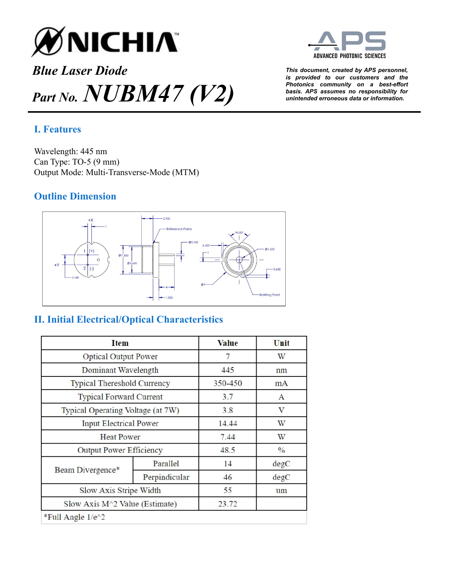

# *Blue Laser Diode This document, created by APS personnel, Part No.*  $NUBM47$   $(V2)$  <sup>Photonics community on a best-efformunity for a best-efformunity on a best-efformunity on  $\frac{1}{2}$ </sup>



*is provided to our customers and the Photonics community on a best-effort* 

## **I. Features**

Wavelength: 445 nm Can Type: TO-5 (9 mm) Output Mode: Multi-Transverse-Mode (MTM)

### **Outline Dimension**



# **II. Initial Electrical/Optical Characteristics**

| <b>Item</b>                        |               | <b>Value</b> | Unit          |
|------------------------------------|---------------|--------------|---------------|
| <b>Optical Output Power</b>        |               | 7            | W             |
| Dominant Wavelength                |               | 445          | nm            |
| <b>Typical Thereshold Currency</b> |               | 350-450      | mA            |
| <b>Typical Forward Current</b>     |               | 3.7          | $\mathbf{A}$  |
| Typical Operating Voltage (at 7W)  |               | 3.8          | V             |
| <b>Input Electrical Power</b>      |               | 14.44        | W             |
| <b>Heat Power</b>                  |               | 7.44         | W             |
| <b>Output Power Efficiency</b>     |               | 48.5         | $\frac{0}{0}$ |
| Beam Divergence*                   | Parallel      | 14           | degC          |
|                                    | Perpindicular | 46           | degC          |
| Slow Axis Stripe Width             |               | 55           | um            |
| Slow Axis $M^2$ Value (Estimate)   |               | 23.72        |               |
| *Full Angle 1/e^2                  |               |              |               |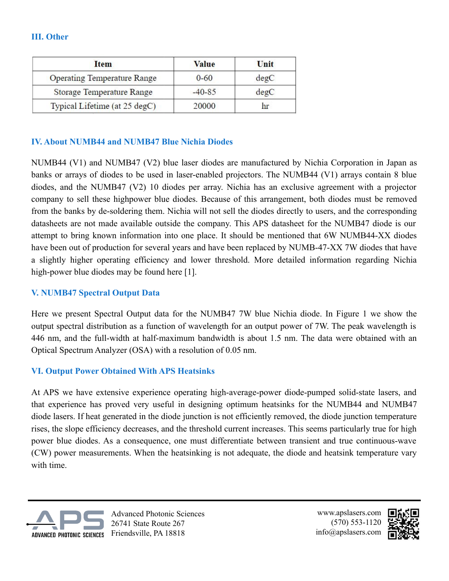#### **III. Other**

| <b>Item</b>                        | <b>Value</b> | Unit |
|------------------------------------|--------------|------|
| <b>Operating Temperature Range</b> | $0 - 60$     | degC |
| Storage Temperature Range          | $-40-85$     | degC |
| Typical Lifetime (at 25 degC)      | 20000        | hr   |

#### **IV. About NUMB44 and NUMB47 Blue Nichia Diodes**

NUMB44 (V1) and NUMB47 (V2) blue laser diodes are manufactured by Nichia Corporation in Japan as banks or arrays of diodes to be used in laser-enabled projectors. The NUMB44 (V1) arrays contain 8 blue diodes, and the NUMB47 (V2) 10 diodes per array. Nichia has an exclusive agreement with a projector company to sell these highpower blue diodes. Because of this arrangement, both diodes must be removed from the banks by de-soldering them. Nichia will not sell the diodes directly to users, and the corresponding datasheets are not made available outside the company. This APS datasheet for the NUMB47 diode is our attempt to bring known information into one place. It should be mentioned that 6W NUMB44-XX diodes have been out of production for several years and have been replaced by NUMB-47-XX 7W diodes that have a slightly higher operating efficiency and lower threshold. More detailed information regarding Nichia high-power blue diodes may be found here [1].

#### **V. NUMB47 Spectral Output Data**

Here we present Spectral Output data for the NUMB47 7W blue Nichia diode. In Figure 1 we show the output spectral distribution as a function of wavelength for an output power of 7W. The peak wavelength is 446 nm, and the full-width at half-maximum bandwidth is about 1.5 nm. The data were obtained with an Optical Spectrum Analyzer (OSA) with a resolution of 0.05 nm.

#### **VI. Output Power Obtained With APS Heatsinks**

At APS we have extensive experience operating high-average-power diode-pumped solid-state lasers, and that experience has proved very useful in designing optimum heatsinks for the NUMB44 and NUMB47 diode lasers. If heat generated in the diode junction is not efficiently removed, the diode junction temperature rises, the slope efficiency decreases, and the threshold current increases. This seems particularly true for high power blue diodes. As a consequence, one must differentiate between transient and true continuous-wave (CW) power measurements. When the heatsinking is not adequate, the diode and heatsink temperature vary with time.



Advanced Photonic Sciences 26741 State Route 267

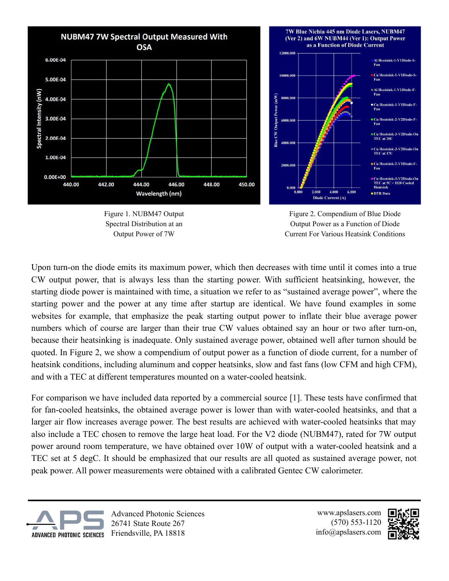





Figure 2. Compendium of Blue Diode Output Power as a Function of Diode Current For Various Heatsink Conditions

Upon turn-on the diode emits its maximum power, which then decreases with time until it comes into a true CW output power, that is always less than the starting power. With sufficient heatsinking, however, the starting diode power is maintained with time, a situation we refer to as "sustained average power", where the starting power and the power at any time after startup are identical. We have found examples in some websites for example, that emphasize the peak starting output power to inflate their blue average power numbers which of course are larger than their true CW values obtained say an hour or two after turn-on, because their heatsinking is inadequate. Only sustained average power, obtained well after turnon should be quoted. In Figure 2, we show a compendium of output power as a function of diode current, for a number of heatsink conditions, including aluminum and copper heatsinks, slow and fast fans (low CFM and high CFM), and with a TEC at different temperatures mounted on a water-cooled heatsink.

For comparison we have included data reported by a commercial source [1]. These tests have confirmed that for fan-cooled heatsinks, the obtained average power is lower than with water-cooled heatsinks, and that a larger air flow increases average power. The best results are achieved with water-cooled heatsinks that may also include a TEC chosen to remove the large heat load. For the V2 diode (NUBM47), rated for 7W output power around room temperature, we have obtained over 10W of output with a water-cooled heatsink and a TEC set at 5 degC. It should be emphasized that our results are all quoted as sustained average power, not peak power. All power measurements were obtained with a calibrated Gentec CW calorimeter.



Advanced Photonic Sciences 26741 State Route 267 Friendsville, PA 18818

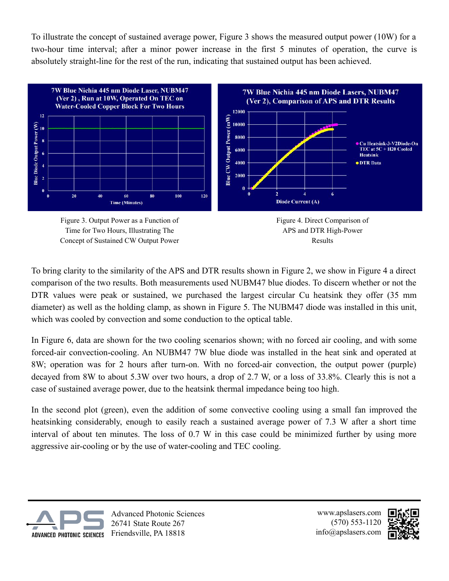To illustrate the concept of sustained average power, Figure 3 shows the measured output power (10W) for a two-hour time interval; after a minor power increase in the first 5 minutes of operation, the curve is absolutely straight-line for the rest of the run, indicating that sustained output has been achieved.







To bring clarity to the similarity of the APS and DTR results shown in Figure 2, we show in Figure 4 a direct comparison of the two results. Both measurements used NUBM47 blue diodes. To discern whether or not the DTR values were peak or sustained, we purchased the largest circular Cu heatsink they offer (35 mm diameter) as well as the holding clamp, as shown in Figure 5. The NUBM47 diode was installed in this unit, which was cooled by convection and some conduction to the optical table.

In Figure 6, data are shown for the two cooling scenarios shown; with no forced air cooling, and with some forced-air convection-cooling. An NUBM47 7W blue diode was installed in the heat sink and operated at 8W; operation was for 2 hours after turn-on. With no forced-air convection, the output power (purple) decayed from 8W to about 5.3W over two hours, a drop of 2.7 W, or a loss of 33.8%. Clearly this is not a case of sustained average power, due to the heatsink thermal impedance being too high.

In the second plot (green), even the addition of some convective cooling using a small fan improved the heatsinking considerably, enough to easily reach a sustained average power of 7.3 W after a short time interval of about ten minutes. The loss of 0.7 W in this case could be minimized further by using more aggressive air-cooling or by the use of water-cooling and TEC cooling.



Advanced Photonic Sciences 26741 State Route 267 Friendsville, PA 18818

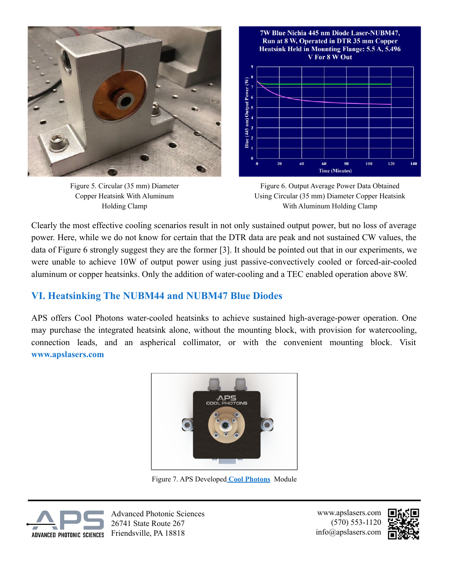

Figure 5. Circular (35 mm) Diameter Copper Heatsink With Aluminum Holding Clamp



Figure 6. Output Average Power Data Obtained Using Circular (35 mm) Diameter Copper Heatsink With Aluminum Holding Clamp

Clearly the most effective cooling scenarios result in not only sustained output power, but no loss of average power. Here, while we do not know for certain that the DTR data are peak and not sustained CW values, the data of Figure 6 strongly suggest they are the former [3]. It should be pointed out that in our experiments, we were unable to achieve 10W of output power using just passive-convectively cooled or forced-air-cooled aluminum or copper heatsinks. Only the addition of water-cooling and a TEC enabled operation above 8W.

## **VI. Heatsinking The NUBM44 and NUBM47 Blue Diodes**

APS offers Cool Photons water-cooled heatsinks to achieve sustained high-average-power operation. One may purchase the integrated heatsink alone, without the mounting block, with provision for watercooling, connection leads, and an aspherical collimator, or with the convenient mounting block. Visit **[www.apslasers.com](http://www.apslasers.com)**



Figure 7. APS Developed **[Cool Photons](https://www.apslasers.com/product/aps-cool-photons)** Module



Advanced Photonic Sciences 26741 State Route 267